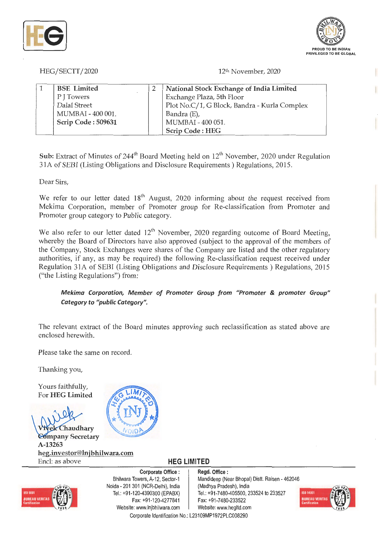



HEG/SECTT/2020

12u, November, 2020

| <b>BSE</b> Limited | National Stock Exchange of India Limited     |
|--------------------|----------------------------------------------|
| P J Towers         | Exchange Plaza, 5th Floor                    |
| Dalal Street       | Plot No.C/1, G Block, Bandra - Kurla Complex |
| MUMBAI - 400 001.  | Bandra (E),                                  |
| Scrip Code: 509631 | MUMBAI - 400 051.                            |
|                    | Scrip Code: HEG                              |

**Sub:** Extract of Minutes of 244<sup>th</sup> Board Meeting held on 12<sup>th</sup> November, 2020 under Regulation 3 IA of SEBI (Listing Obligations and Disclosure Requirements) Regulations, 2015.

Dear Sirs,

We refer to our letter dated  $18<sup>th</sup>$  August, 2020 informing about the request received from Mekima Corporation, member of Promoter group for Re-classification from Promoter and Promoter group category to Public category.

We also refer to our letter dated 12<sup>th</sup> November, 2020 regarding outcome of Board Meeting, whereby the Board of Directors have also approved (subject to the approval of the members of the Company, Stock Exchanges were shares of the Company are listed and the other regulatory authorities, if any, as may be required) the following Re-classification request received under Regulation 31A of SEBI (Listing Obligations and Disclosure Requirements) Regulations, 2015 ("the Listing Regulations") from:

*Mekima Corporation, Member of Promoter Group from "Promoter* & *promoter Group" Category to "public Category".* 

The relevant extract of the Board minutes approving such reclassification as stated above are enclosed herewith.

Please take the same on record.

Thanking you,

Yours faithfully, For **HEG Limited** 

**ek** Chaudhary *Eompany Secretary* **A-13263 heg.investor@lnjbhilwara.com**  Encl: as above **HEG LIMITED** 





**Corporate Office** : Bhilwara Towers, A-12, Sector-1 Noida - 201 301 (NCR-Delhi), India Tel.: +91-120-4390300 (EPABX) Fax: +91-120-4277841 Website: www.lnjbhilwara.com | Website: www.hegltd.com

**Regd. Office** : Mandideep (Near Bhopal) Distt. Raisen - 462046 (Madhya Pradesh), India Tel.: +91-7480-405500, 233524 to 233527 Fax: +91-7480-233522 Corporate Identification No.: L23109MP1972PLC008290

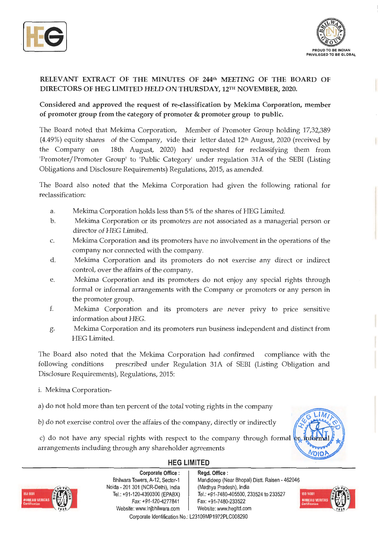



## **RELEVANT EXTRACT OF THE MINUTES OF 244th MEETING OF THE BOARD OF DIRECTORS OF HEG LIMITED HELD ON THURSDAY, 12rn NOVEMBER, 2020.**

**Considered and approved the request of re-classification by Mekima Corporation, member of promoter group from the category of promoter** & **promoter group to public.** 

The Board noted that Mekima Corporation, Member of Promoter Group holding 17,32,389  $(4.49%)$  equity shares of the Company, vide their letter dated 12<sup>th</sup> August, 2020 (received by the Company on 18th August, 2020) had requested for reclassifying them from 'Promoter/Promoter Group' to 'Public Category' under regulation 31A of the SEBI (Listing Obligations and Disclosure Requirements) Regulations, 2015, as amended.

The Board also noted that the Mekima Corporation had given the following rational for reclassification:

- a. Mekima Corporation holds less than 5% of the shares of HEG Limited.
- b. Mekima Corporation or its promoters are not associated as a managerial person or director of HEG Limited.
- c. Mekima Corporation and its promoters have no involvement in the operations of the company nor connected with the company.
- d. Mekima Corporation and its promoters do not exercise any direct or indirect control, over the affairs of the company.
- e. Mekima Corporation and its promoters do not enjoy any special rights through formal or informal arrangements with the Company or promoters or any person in the promoter group.
- f. Mekima Corporation and its promoters are never privy to price sensitive information about HEG.
- g. Mekima Corporation and its promoters run business independent and distinct from HEG Limited.

The Board also noted that the Mekima Corporation had confirmed compliance with the following conditions prescribed under Regulation 31A of SEBI (Listing Obligation and Disclosure Requirements), Regulations, 2015:

- i. Mekima Corporation-
- a) do not hold more than ten percent of the total voting rights in the company
- b) do not exercise control over the affairs of the company, directly or indirectly

c) do not have any special rights with respect to the company through formal  $\phi$ arrangements including through any shareholder agreements



## **HEG LIMITED**



**Corporate Office** : Bhilwara Towers, A-12, Sector-1 Naida - 201 301 (NCR-Delhi), India Tel.: +91-120-4390300 (EPABX) Fax:+91 -120-4277841 Website: www.lnjbhilwara.com | Website: www.hegltd.com Corporate Identification No.: L23109MP1972PLC008290

**Regd. Office** : Mandideep (Near Bhopal) Distt. Raisen - 462046 (Madhya Pradesh), India Tel. : +91-7480-405500, 233524 to 233527 Fax: +91 -7480-233522

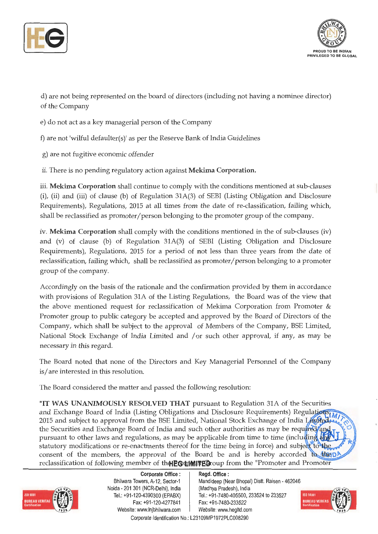



d) are not being represented on the board of directors (including not having a nominee director) of the Company

e) do not act as a key managerial person of the Company

f) are not 'wilful defaulter(s)' as per the Reserve Bank of India Guidelines

g) are not fugitive economic offender

ii. There is no pending regulatory action against **Mekima Corporation.** 

iii. **Mekima Corporation** shall continue to comply with the conditions mentioned at sub-clauses (i), (ii) and (iii) of clause (b) of Regulation 31A(3) of SEBI (Listing Obligation and Disclosure Requirements), Regulations, 2015 at all times from the date of re-classification, failing which, shall be reclassified as promoter/person belonging to the promoter group of the company.

iv. **Mekima Corporation** shall comply with the conditions mentioned in the of sub-clauses (iv) and (v) of clause (b) of Regulation 31A(3) of SEBI (Listing Obligation and Disclosure Requirements), Regulations, 2015 for a period of not less than three years from the date of reclassification, failing which, shall be reclassified as promoter/ person belonging to a promoter group of the company.

Accordingly on the basis of the rationale and the confirmation provided by them in accordance with provisions of Regulation 31A of the Listing Regulations, the Board was of the view that the above mentioned request for reclassification of Mekima Corporation from Promoter & Promoter group to public category be accepted and approved by the Board of Directors of the Company, which shall be subject to the approval of Members of the Company, BSE Limited, National Stock Exchange of India Limited and / or such other approval, if any, as may be necessary in this regard.

The Board noted that none of the Directors and Key Managerial Personnel of the Company is/ are interested in this resolution.

The Board considered the matter and passed the following resolution:

"IT **WAS UNANIMOUSLY RESOLVED THAT** pursuant to Regulation 31A of the Securities and Exchange Board of India (Listing Obligations and Disclosure Requirements) Regulations (M) 2015 and subject to approval from the BSE Limited, National Stock Exchange of India Limited, the Securities and Exchange Board of India and such other authorities as may be required and pursuant to other laws and regulations, as may be applicable from time to time (including an statutory modifications or re-enactments thereof for the time being in force) and subject to the consent of the members, the approval of the Board be and is hereby accorded to the p reclassification of following member of the **EG times El** coup from the "Promoter and Promoter



**Corporate Office** : Bhilwara Towers, A-12, Sector-1 Neida - 201 301 (NCR-Delhi), India Tel.: +91 -120-4390300 (EPABX) Fax: +91-120-4277841 Website: www.lnjbhilwara.com | Website: www.hegltd.com

**Regd. Office** : Mandideep (Near Bhopal) Distt. Raisen - 462046 (Madhya Pradesh), India Tel.: +91-7480-405500, 233524 to 233527 Fax: +91-7480-233522

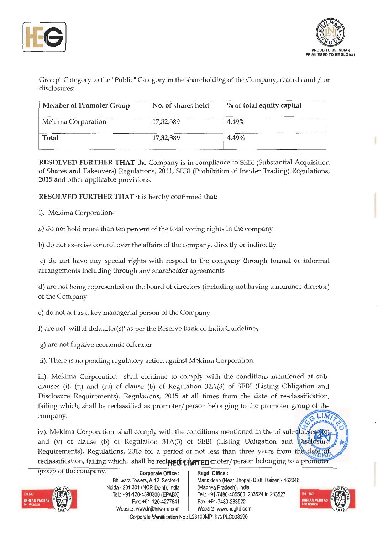



Group" Category to the "Public" Category in the shareholding of the Company, records and/ or disclosures:

| <b>Member of Promoter Group</b> | No. of shares held | $\%$ of total equity capital |
|---------------------------------|--------------------|------------------------------|
| Mekima Corporation              | 17,32,389          | 4.49%                        |
| Total                           | 17,32,389          | $4.49\%$                     |

**RESOLVED FURTHER THAT** the Company is in compliance to SEBI (Substantial Acquisition of Shares and Takeovers) Regulations, 2011, SEBI (Prohibition of Insider Trading) Regulations, 2015 and other applicable provisions.

**RESOLVED FURTHER THAT** it is hereby confirmed that:

i). Mekima Corporation-

a) do not hold more than ten percent of the total voting rights in the company

b) do not exercise control over the affairs of the company, directly or indirectly

c) do not have any special rights with respect to the company through formal or informal arrangements including through any shareholder agreements

d) are not being represented on the board of directors (including not having a nominee director) of the Company

- e) do not act as a key managerial person of the Company
- f) are not 'wilful defaulter(s)' as per the Reserve Bank of India Guidelines
- g) are not fugitive economic offender
- ii). There is no pending regulatory action against Mekima Corporation.

iii). Mekima Corporation shall continue to comply with the conditions mentioned at subclauses (i), (ii) and (iii) of clause (b) of Regulation 31A(3) of SEBI (Listing Obligation and Disclosure Requirements), Regulations, 2015 at all times from the date of re-classification, failing which, shall be reclassified as promoter/person belonging to the promoter group of the company.  $\sqrt{G L[M/r]}$ 

iv). Mekima Corporation shall comply with the conditions mentioned in the of sut-dauses and (v) of clause (b) of Regulation 31A(3) of SEBI (Listing Obligation and Disc Requirements), Regulations, 2015 for a period of not less than three years from the date reclassification, failing which, shall be reclere distributor person belonging to a promoter

| <b>ISO 9001</b>       |  |
|-----------------------|--|
| <b>BUREAU VERITAS</b> |  |
| <b>Certification</b>  |  |